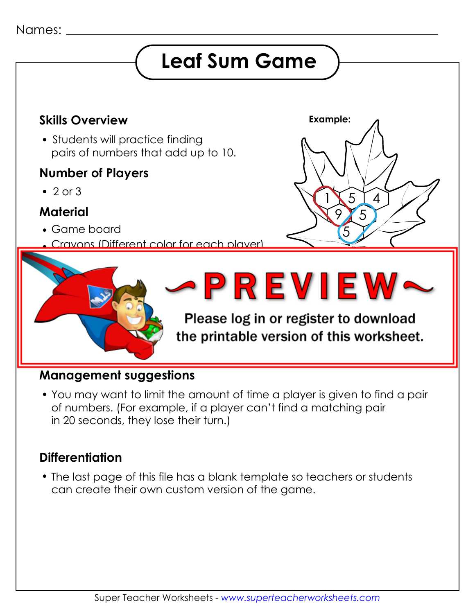# **Leaf Sum Game**

5

5

 $\boldsymbol{\varDelta}$ 

1

**Example:**

5

9

## **Skills Overview**

• Students will practice finding pairs of numbers that add up to 10.

#### **Number of Players**

 $\cdot$  2 or 3

### **Material**

- Game board
	- Crayons (Different color for each player)



#### **Management suggestions**

 You may want to limit the amount of time a player is given to find a pair of numbers. (For example, if a player can't find a matching pair in 20 seconds, they lose their turn.)

### **Differentiation**

 The last page of this file has a blank template so teachers or students can create their own custom version of the game.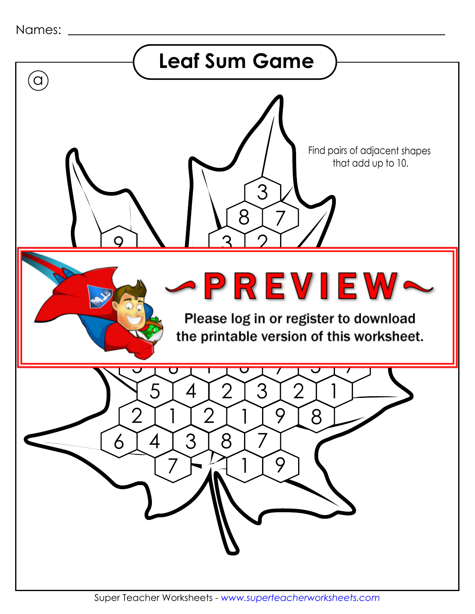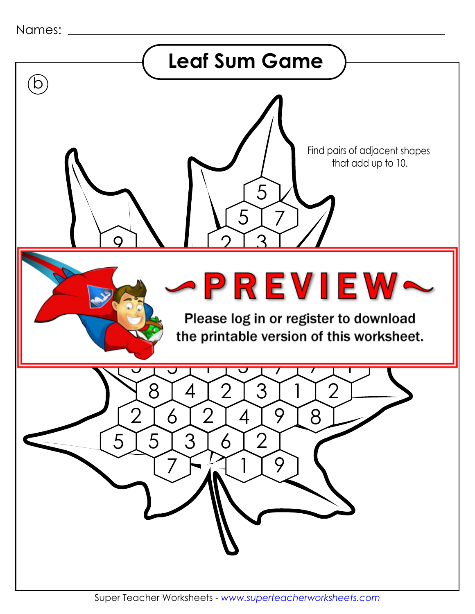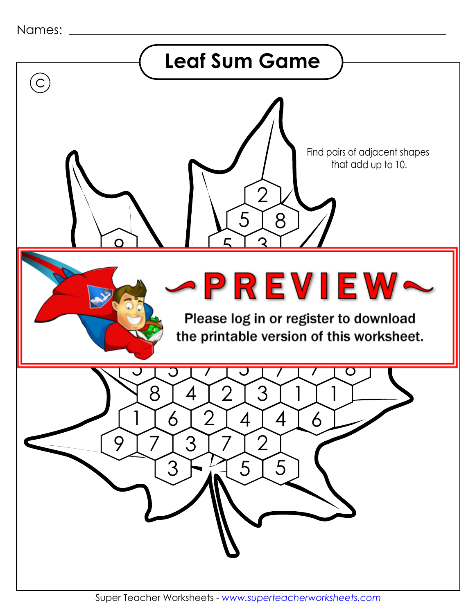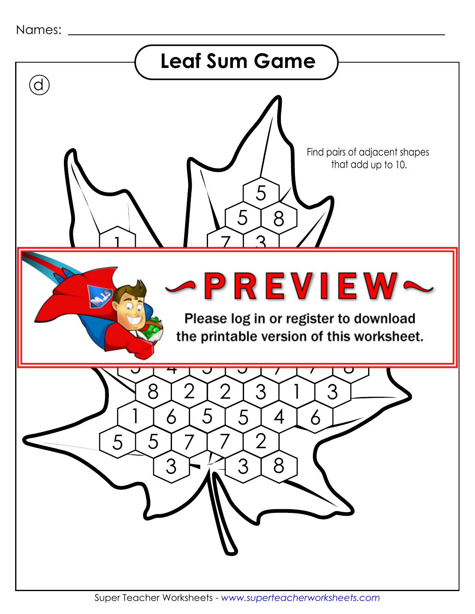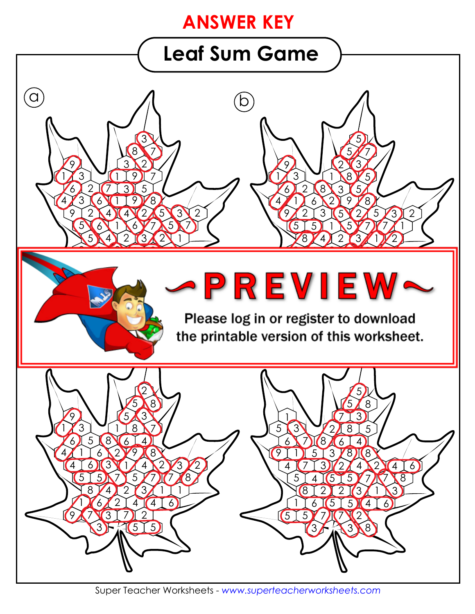# **ANSWER KEY**